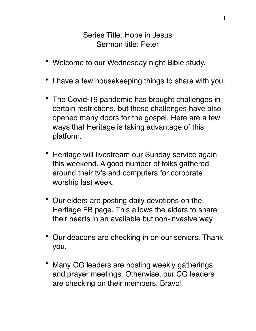## Series Title: Hope in Jesus Sermon title: Peter

- Welcome to our Wednesday night Bible study.
- I have a few housekeeping things to share with you.
- The Covid-19 pandemic has brought challenges in certain restrictions, but those challenges have also opened many doors for the gospel. Here are a few ways that Heritage is taking advantage of this platform.
- Heritage will livestream our Sunday service again this weekend. A good number of folks gathered around their tv's and computers for corporate worship last week.
- Our elders are posting daily devotions on the Heritage FB page. This allows the elders to share their hearts in an available but non-invasive way.
- Our deacons are checking in on our seniors. Thank you.
- Many CG leaders are hosting weekly gatherings and prayer meetings. Otherwise, our CG leaders are checking on their members. Bravo!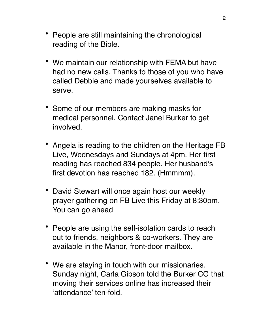- People are still maintaining the chronological reading of the Bible.
- We maintain our relationship with FEMA but have had no new calls. Thanks to those of you who have called Debbie and made yourselves available to serve.
- Some of our members are making masks for medical personnel. Contact Janel Burker to get involved.
- Angela is reading to the children on the Heritage FB Live, Wednesdays and Sundays at 4pm. Her first reading has reached 834 people. Her husband's first devotion has reached 182. (Hmmmm).
- David Stewart will once again host our weekly prayer gathering on FB Live this Friday at 8:30pm. You can go ahead
- People are using the self-isolation cards to reach out to friends, neighbors & co-workers. They are available in the Manor, front-door mailbox.
- We are staying in touch with our missionaries. Sunday night, Carla Gibson told the Burker CG that moving their services online has increased their 'attendance' ten-fold.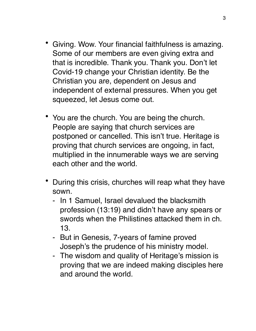- Giving. Wow. Your financial faithfulness is amazing. Some of our members are even giving extra and that is incredible. Thank you. Thank you. Don't let Covid-19 change your Christian identity. Be the Christian you are, dependent on Jesus and independent of external pressures. When you get squeezed, let Jesus come out.
- You are the church. You are being the church. People are saying that church services are postponed or cancelled. This isn't true. Heritage is proving that church services are ongoing, in fact, multiplied in the innumerable ways we are serving each other and the world.
- During this crisis, churches will reap what they have sown.
	- In 1 Samuel, Israel devalued the blacksmith profession (13:19) and didn't have any spears or swords when the Philistines attacked them in ch. 13.
	- But in Genesis, 7-years of famine proved Joseph's the prudence of his ministry model.
	- The wisdom and quality of Heritage's mission is proving that we are indeed making disciples here and around the world.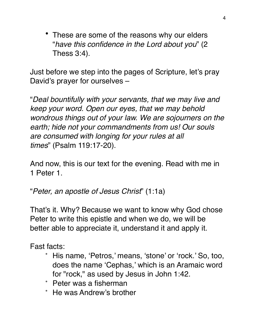• These are some of the reasons why our elders "*have this confidence in the Lord about you*" (2 Thess 3:4).

Just before we step into the pages of Scripture, let's pray David's prayer for ourselves –

"*Deal bountifully with your servants, that we may live and keep your word. Open our eyes, that we may behold wondrous things out of your law. We are sojourners on the earth; hide not your commandments from us! Our souls are consumed with longing for your rules at all times*" (Psalm 119:17-20).

And now, this is our text for the evening. Read with me in 1 Peter 1.

"*Peter, an apostle of Jesus Christ*" (1:1a)

That's it. Why? Because we want to know why God chose Peter to write this epistle and when we do, we will be better able to appreciate it, understand it and apply it.

Fast facts:

- His name, 'Petros,' means, 'stone' or 'rock.' So, too, does the name 'Cephas,' which is an Aramaic word for "rock," as used by Jesus in John 1:42.
- Peter was a fisherman
- He was Andrew's brother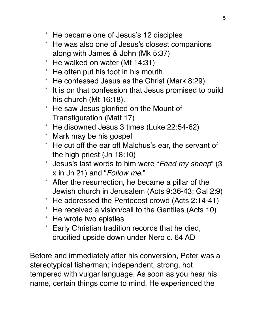- He became one of Jesus's 12 disciples
- He was also one of Jesus's closest companions along with James & John (Mk 5:37)
- He walked on water (Mt 14:31)
- He often put his foot in his mouth
- He confessed Jesus as the Christ (Mark 8:29)
- It is on that confession that Jesus promised to build his church (Mt 16:18).
- He saw Jesus glorified on the Mount of Transfiguration (Matt 17)
- He disowned Jesus 3 times (Luke 22:54-62)
- Mark may be his gospel
- He cut off the ear off Malchus's ear, the servant of the high priest (Jn 18:10)
- Jesus's last words to him were "*Feed my sheep*" (3 x in Jn 21) and "*Follow me*."
- After the resurrection, he became a pillar of the Jewish church in Jerusalem (Acts 9:36-43; Gal 2:9)
- He addressed the Pentecost crowd (Acts 2:14-41)
- He received a vision/call to the Gentiles (Acts 10)
- He wrote two epistles
- Early Christian tradition records that he died, crucified upside down under Nero c. 64 AD

Before and immediately after his conversion, Peter was a stereotypical fisherman; independent, strong, hot tempered with vulgar language. As soon as you hear his name, certain things come to mind. He experienced the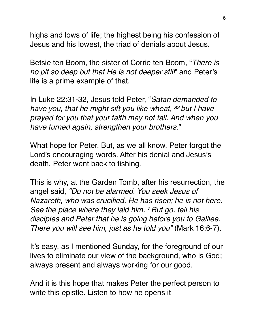highs and lows of life; the highest being his confession of Jesus and his lowest, the triad of denials about Jesus.

Betsie ten Boom, the sister of Corrie ten Boom, "*There is no pit so deep but that He is not deeper still*" and Peter's life is a prime example of that.

In Luke 22:31-32, Jesus told Peter, "*Satan demanded to have you, that he might sift you like wheat, <sup>32</sup> but I have prayed for you that your faith may not fail. And when you have turned again, strengthen your brothers*."

What hope for Peter. But, as we all know, Peter forgot the Lord's encouraging words. After his denial and Jesus's death, Peter went back to fishing.

This is why, at the Garden Tomb, after his resurrection, the angel said, *"Do not be alarmed. You seek Jesus of Nazareth, who was crucified. He has risen; he is not here. See the place where they laid him. <sup>7</sup> But go, tell his disciples and Peter that he is going before you to Galilee. There you will see him, just as he told you"* (Mark 16:6-7).

It's easy, as I mentioned Sunday, for the foreground of our lives to eliminate our view of the background, who is God; always present and always working for our good.

And it is this hope that makes Peter the perfect person to write this epistle. Listen to how he opens it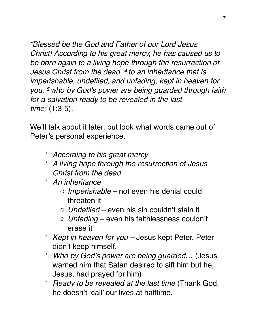*"Blessed be the God and Father of our Lord Jesus Christ! According to his great mercy, he has caused us to be born again to a living hope through the resurrection of Jesus Christ from the dead, <sup>4</sup> to an inheritance that is imperishable, undefiled, and unfading, kept in heaven for you, <sup>5</sup> who by God's power are being guarded through faith for a salvation ready to be revealed in the last time"* (1:3-5).

We'll talk about it later, but look what words came out of Peter's personal experience.

- *According to his great mercy*
- *A living hope through the resurrection of Jesus Christ from the dead*
- *An inheritance* 
	- o *Imperishable* not even his denial could threaten it
	- o *Undefiled* even his sin couldn't stain it
	- o *Unfading* even his faithlessness couldn't erase it
- *Kept in heaven for you* Jesus kept Peter. Peter didn't keep himself.
- *Who by God's power are being guarded*… (Jesus warned him that Satan desired to sift him but he, Jesus, had prayed for him)
- *Ready to be revealed at the last time* (Thank God, he doesn't 'call' our lives at halftime.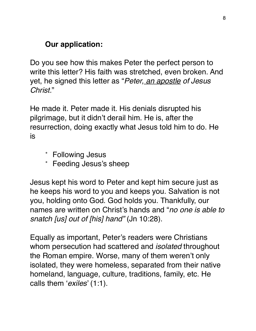## **Our application:**

Do you see how this makes Peter the perfect person to write this letter? His faith was stretched, even broken. And yet, he signed this letter as "*Peter, an apostle of Jesus Christ.*"

He made it. Peter made it. His denials disrupted his pilgrimage, but it didn't derail him. He is, after the resurrection, doing exactly what Jesus told him to do. He is

- Following Jesus
- Feeding Jesus's sheep

Jesus kept his word to Peter and kept him secure just as he keeps his word to you and keeps you. Salvation is not you, holding onto God. God holds you. Thankfully, our names are written on Christ's hands and "*no one is able to snatch [us] out of [his] hand"* (Jn 10:28).

Equally as important, Peter's readers were Christians whom persecution had scattered and *isolated* throughout the Roman empire. Worse, many of them weren't only isolated, they were homeless, separated from their native homeland, language, culture, traditions, family, etc. He calls them '*exiles*' (1:1).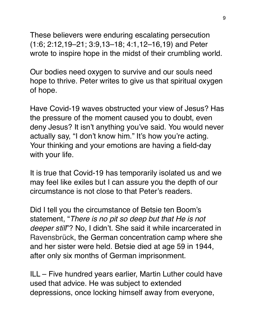These believers were enduring escalating persecution (1:6; 2:12,19–21; 3:9,13–18; 4:1,12–16,19) and Peter wrote to inspire hope in the midst of their crumbling world.

Our bodies need oxygen to survive and our souls need hope to thrive. Peter writes to give us that spiritual oxygen of hope.

Have Covid-19 waves obstructed your view of Jesus? Has the pressure of the moment caused you to doubt, even deny Jesus? It isn't anything you've said. You would never actually say, "I don't know him." It's how you're acting. Your thinking and your emotions are having a field-day with your life.

It is true that Covid-19 has temporarily isolated us and we may feel like exiles but I can assure you the depth of our circumstance is not close to that Peter's readers.

Did I tell you the circumstance of Betsie ten Boom's statement, "*There is no pit so deep but that He is not deeper still*"? No, I didn't. She said it while incarcerated in Ravensbrück, the German concentration camp where she and her sister were held. Betsie died at age 59 in 1944, after only six months of German imprisonment.

ILL – Five hundred years earlier, Martin Luther could have used that advice. He was subject to extended depressions, once locking himself away from everyone,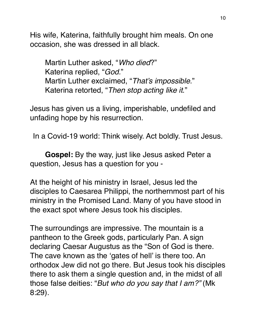His wife, Katerina, faithfully brought him meals. On one occasion, she was dressed in all black.

Martin Luther asked, "*Who died*?" Katerina replied, "*God.*" Martin Luther exclaimed, "*That's impossible*." Katerina retorted, "*Then stop acting like it*."

Jesus has given us a living, imperishable, undefiled and unfading hope by his resurrection.

In a Covid-19 world: Think wisely. Act boldly. Trust Jesus.

**Gospel:** By the way, just like Jesus asked Peter a question, Jesus has a question for you -

At the height of his ministry in Israel, Jesus led the disciples to Caesarea Philippi, the northernmost part of his ministry in the Promised Land. Many of you have stood in the exact spot where Jesus took his disciples.

The surroundings are impressive. The mountain is a pantheon to the Greek gods, particularly Pan. A sign declaring Caesar Augustus as the "Son of God is there. The cave known as the 'gates of hell' is there too. An orthodox Jew did not go there. But Jesus took his disciples there to ask them a single question and, in the midst of all those false deities: "*But who do you say that I am?"* (Mk 8:29).